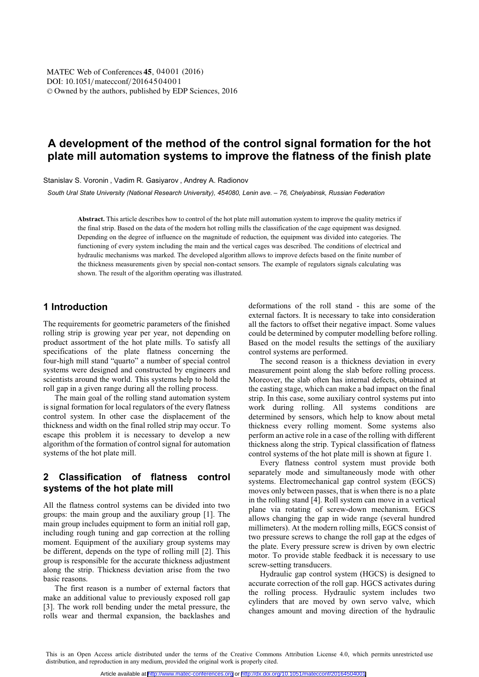# **A development of the method of the control signal formation for the hot plate mill automation systems to improve the flatness of the finish plate**

Stanislav S. Voronin , Vadim R. Gasiyarov , Andrey A. Radionov

 *South Ural State University (National Research University), 454080, Lenin ave. – 76, Chelyabinsk, Russian Federation* 

**Abstract.** This article describes how to control of the hot plate mill automation system to improve the quality metrics if the final strip. Based on the data of the modern hot rolling mills the classification of the cage equipment was designed. Depending on the degree of influence on the magnitude of reduction, the equipment was divided into categories. The functioning of every system including the main and the vertical cages was described. The conditions of electrical and hydraulic mechanisms was marked. The developed algorithm allows to improve defects based on the finite number of the thickness measurements given by special non-contact sensors. The example of regulators signals calculating was shown. The result of the algorithm operating was illustrated.

#### **1 Introduction**

The requirements for geometric parameters of the finished rolling strip is growing year per year, not depending on product assortment of the hot plate mills. To satisfy all specifications of the plate flatness concerning the four-high mill stand "quarto" a number of special control systems were designed and constructed by engineers and scientists around the world. This systems help to hold the roll gap in a given range during all the rolling process.

The main goal of the rolling stand automation system is signal formation for local regulators of the every flatness control system. In other case the displacement of the thickness and width on the final rolled strip may occur. To escape this problem it is necessary to develop a new algorithm of the formation of control signal for automation systems of the hot plate mill.

## **2 Classification of flatness control systems of the hot plate mill**

All the flatness control systems can be divided into two groups: the main group and the auxiliary group [1]. The main group includes equipment to form an initial roll gap, including rough tuning and gap correction at the rolling moment. Equipment of the auxiliary group systems may be different, depends on the type of rolling mill [2]. This group is responsible for the accurate thickness adjustment along the strip. Thickness deviation arise from the two basic reasons.

The first reason is a number of external factors that make an additional value to previously exposed roll gap [3]. The work roll bending under the metal pressure, the rolls wear and thermal expansion, the backlashes and

deformations of the roll stand - this are some of the external factors. It is necessary to take into consideration all the factors to offset their negative impact. Some values could be determined by computer modelling before rolling. Based on the model results the settings of the auxiliary control systems are performed.

The second reason is a thickness deviation in every measurement point along the slab before rolling process. Moreover, the slab often has internal defects, obtained at the casting stage, which can make a bad impact on the final strip. In this case, some auxiliary control systems put into work during rolling. All systems conditions are determined by sensors, which help to know about metal thickness every rolling moment. Some systems also perform an active role in a case of the rolling with different thickness along the strip. Typical classification of flatness control systems of the hot plate mill is shown at figure 1.

Every flatness control system must provide both separately mode and simultaneously mode with other systems. Electromechanical gap control system (EGCS) moves only between passes, that is when there is no a plate in the rolling stand [4]. Roll system can move in a vertical plane via rotating of screw-down mechanism. EGCS allows changing the gap in wide range (several hundred millimeters). At the modern rolling mills, EGCS consist of two pressure screws to change the roll gap at the edges of the plate. Every pressure screw is driven by own electric motor. To provide stable feedback it is necessary to use screw-setting transducers.

Hydraulic gap control system (HGCS) is designed to accurate correction of the roll gap. HGCS activates during the rolling process. Hydraulic system includes two cylinders that are moved by own servo valve, which changes amount and moving direction of the hydraulic

This is an Open Access article distributed under the terms of the [Creative Commons Attribution License 4.0,](http://creativecommons.org/licenses/by/4.0) which permits unrestricted use distribution, and reproduction in any medium, provided the original work is properly cited.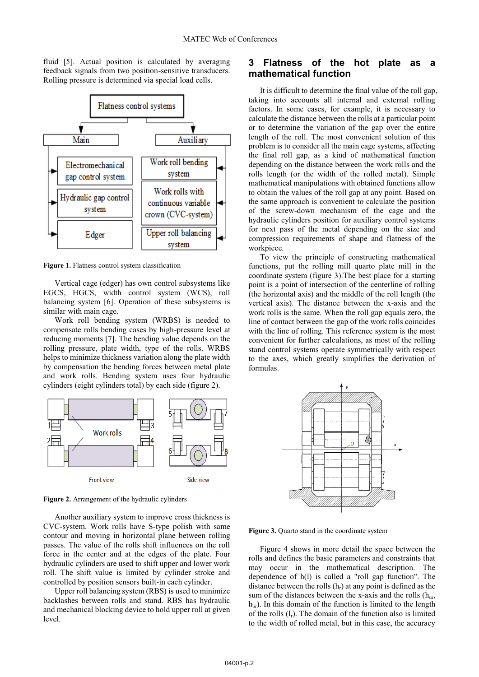fluid [5]. Actual position is calculated by averaging feedback signals from two position-sensitive transducers. Rolling pressure is determined via special load cells.



**Figure 1.** Flatness control system classification

Vertical cage (edger) has own control subsystems like EGCS, HGCS, width control system (WCS), roll balancing system [6]. Operation of these subsystems is similar with main cage.

Work roll bending system (WRBS) is needed to compensate rolls bending cases by high-pressure level at reducing moments [7]. The bending value depends on the rolling pressure, plate width, type of the rolls. WRBS helps to minimize thickness variation along the plate width by compensation the bending forces between metal plate and work rolls. Bending system uses four hydraulic cylinders (eight cylinders total) by each side (figure 2).



**Figure 2.** Arrangement of the hydraulic cylinders

Another auxiliary system to improve cross thickness is CVC-system. Work rolls have S-type polish with same contour and moving in horizontal plane between rolling passes. The value of the rolls shift influences on the roll force in the center and at the edges of the plate. Four hydraulic cylinders are used to shift upper and lower work roll. The shift value is limited by cylinder stroke and controlled by position sensors built-in each cylinder.

Upper roll balancing system (RBS) is used to minimize backlashes between rolls and stand. RBS has hydraulic and mechanical blocking device to hold upper roll at given level.

#### **3 Flatness of the hot plate as a mathematical function**

It is difficult to determine the final value of the roll gap, taking into accounts all internal and external rolling factors. In some cases, for example, it is necessary to calculate the distance between the rolls at a particular point or to determine the variation of the gap over the entire length of the roll. The most convenient solution of this problem is to consider all the main cage systems, affecting the final roll gap, as a kind of mathematical function depending on the distance between the work rolls and the rolls length (or the width of the rolled metal). Simple mathematical manipulations with obtained functions allow to obtain the values of the roll gap at any point. Based on the same approach is convenient to calculate the position of the screw-down mechanism of the cage and the hydraulic cylinders position for auxiliary control systems for next pass of the metal depending on the size and compression requirements of shape and flatness of the workpiece.

To view the principle of constructing mathematical functions, put the rolling mill quarto plate mill in the coordinate system (figure 3).The best place for a starting point is a point of intersection of the centerline of rolling (the horizontal axis) and the middle of the roll length (the vertical axis). The distance between the x-axis and the work rolls is the same. When the roll gap equals zero, the line of contact between the gap of the work rolls coincides with the line of rolling. This reference system is the most convenient for further calculations, as most of the rolling stand control systems operate symmetrically with respect to the axes, which greatly simplifies the derivation of formulas.



**Figure 3.** Quarto stand in the coordinate system

Figure 4 shows in more detail the space between the rolls and defines the basic parameters and constraints that may occur in the mathematical description. The dependence of h(l) is called a "roll gap function". The distance between the rolls  $(h_r)$  at any point is defined as the sum of the distances between the x-axis and the rolls  $(h_{ur},$  $h_{\rm br}$ ). In this domain of the function is limited to the length of the rolls  $(l_r)$ . The domain of the function also is limited to the width of rolled metal, but in this case, the accuracy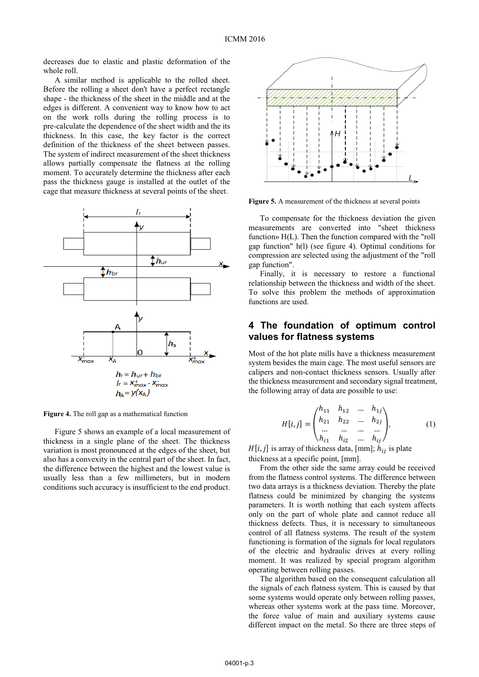decreases due to elastic and plastic deformation of the whole roll.

A similar method is applicable to the rolled sheet. Before the rolling a sheet don't have a perfect rectangle shape - the thickness of the sheet in the middle and at the edges is different. A convenient way to know how to act on the work rolls during the rolling process is to pre-calculate the dependence of the sheet width and the its thickness. In this case, the key factor is the correct definition of the thickness of the sheet between passes. The system of indirect measurement of the sheet thickness allows partially compensate the flatness at the rolling moment. To accurately determine the thickness after each pass the thickness gauge is installed at the outlet of the cage that measure thickness at several points of the sheet.



**Figure 4.** The roll gap as a mathematical function

Figure 5 shows an example of a local measurement of thickness in a single plane of the sheet. The thickness variation is most pronounced at the edges of the sheet, but also has a convexity in the central part of the sheet. In fact, the difference between the highest and the lowest value is usually less than a few millimeters, but in modern conditions such accuracy is insufficient to the end product.



**Figure 5.** A measurement of the thickness at several points

To compensate for the thickness deviation the given measurements are converted into "sheet thickness function» H(L). Then the function compared with the "roll gap function" h(l) (see figure 4). Optimal conditions for compression are selected using the adjustment of the "roll gap function".

Finally, it is necessary to restore a functional relationship between the thickness and width of the sheet. To solve this problem the methods of approximation functions are used.

#### **4 The foundation of optimum control values for flatness systems**

Most of the hot plate mills have a thickness measurement system besides the main cage. The most useful sensors are calipers and non-contact thickness sensors. Usually after the thickness measurement and secondary signal treatment, the following array of data are possible to use:

$$
H[i,j] = \begin{pmatrix} h_{11} & h_{12} & \dots & h_{1j} \\ h_{21} & h_{22} & \dots & h_{2j} \\ \dots & \dots & \dots & \dots \\ h_{i1} & h_{i2} & \dots & h_{ij} \end{pmatrix},
$$
 (1)

 $H[i, j]$  is array of thickness data, [mm];  $h_{ij}$  is plate thickness at a specific point, [mm].

From the other side the same array could be received from the flatness control systems. The difference between two data arrays is a thickness deviation. Thereby the plate flatness could be minimized by changing the systems parameters. It is worth nothing that each system affects only on the part of whole plate and cannot reduce all thickness defects. Thus, it is necessary to simultaneous control of all flatness systems. The result of the system functioning is formation of the signals for local regulators of the electric and hydraulic drives at every rolling moment. It was realized by special program algorithm operating between rolling passes.

The algorithm based on the consequent calculation all the signals of each flatness system. This is caused by that some systems would operate only between rolling passes, whereas other systems work at the pass time. Moreover, the force value of main and auxiliary systems cause different impact on the metal. So there are three steps of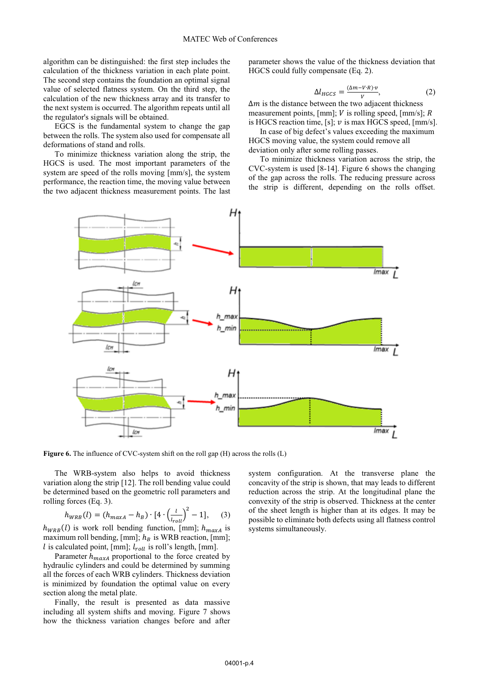algorithm can be distinguished: the first step includes the calculation of the thickness variation in each plate point. The second step contains the foundation an optimal signal value of selected flatness system. On the third step, the calculation of the new thickness array and its transfer to the next system is occurred. The algorithm repeats until all the regulator's signals will be obtained.

EGCS is the fundamental system to change the gap between the rolls. The system also used for compensate all deformations of stand and rolls.

To minimize thickness variation along the strip, the HGCS is used. The most important parameters of the system are speed of the rolls moving [mm/s], the system performance, the reaction time, the moving value between the two adjacent thickness measurement points. The last parameter shows the value of the thickness deviation that HGCS could fully compensate (Eq. 2).

$$
\Delta l_{HGCS} = \frac{(\Delta m - V \cdot R) \cdot v}{v},\tag{2}
$$

 $\Delta m$  is the distance between the two adjacent thickness measurement points, [mm];  $V$  is rolling speed, [mm/s];  $R$ is HGCS reaction time, [s];  $v$  is max HGCS speed, [mm/s].

In case of big defect's values exceeding the maximum HGCS moving value, the system could remove all deviation only after some rolling passes.

To minimize thickness variation across the strip, the CVC-system is used [8-14]. Figure 6 shows the changing of the gap across the rolls. The reducing pressure across the strip is different, depending on the rolls offset.



Figure 6. The influence of CVC-system shift on the roll gap (H) across the rolls (L)

The WRB-system also helps to avoid thickness variation along the strip [12]. The roll bending value could be determined based on the geometric roll parameters and rolling forces (Eq. 3).

$$
h_{WRB}(l) = (h_{maxA} - h_B) \cdot [4 \cdot \left(\frac{l}{l_{roll}}\right)^2 - 1], \quad (3)
$$

 $h_{WRB}(l)$  is work roll bending function, [mm];  $h_{maxA}$  is maximum roll bending, [mm];  $h_B$  is WRB reaction, [mm];  $l$  is calculated point, [mm];  $l_{roll}$  is roll's length, [mm].

Parameter  $h_{maxA}$  proportional to the force created by hydraulic cylinders and could be determined by summing all the forces of each WRB cylinders. Thickness deviation is minimized by foundation the optimal value on every section along the metal plate.

Finally, the result is presented as data massive including all system shifts and moving. Figure 7 shows how the thickness variation changes before and after system configuration. At the transverse plane the concavity of the strip is shown, that may leads to different reduction across the strip. At the longitudinal plane the convexity of the strip is observed. Thickness at the center of the sheet length is higher than at its edges. It may be possible to eliminate both defects using all flatness control systems simultaneously.